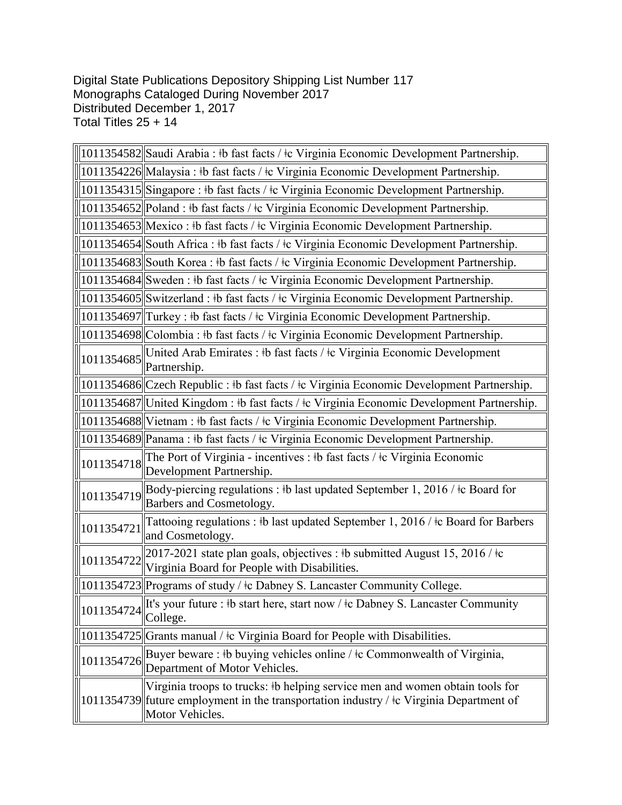Digital State Publications Depository Shipping List Number 117 Monographs Cataloged During November 2017 Distributed December 1, 2017 Total Titles 25 + 14

|                  | 1011354582  Saudi Arabia : #b fast facts / #c Virginia Economic Development Partnership.                                                                                                   |
|------------------|--------------------------------------------------------------------------------------------------------------------------------------------------------------------------------------------|
|                  | 1011354226  Malaysia : #b fast facts / #c Virginia Economic Development Partnership.                                                                                                       |
|                  | 1011354315  Singapore : #b fast facts / #c Virginia Economic Development Partnership.                                                                                                      |
|                  | 1011354652  Poland : #b fast facts / #c Virginia Economic Development Partnership.                                                                                                         |
|                  | 1011354653  Mexico : ‡b fast facts / ‡c Virginia Economic Development Partnership.                                                                                                         |
|                  | 1011354654  South Africa : #b fast facts / #c Virginia Economic Development Partnership.                                                                                                   |
|                  | 1011354683  South Korea : #b fast facts / #c Virginia Economic Development Partnership.                                                                                                    |
|                  | 1011354684  Sweden : #b fast facts / #c Virginia Economic Development Partnership.                                                                                                         |
|                  | $\ 1011354605\ $ Switzerland : ‡b fast facts / ‡c Virginia Economic Development Partnership.                                                                                               |
|                  | 1011354697  Turkey : #b fast facts / #c Virginia Economic Development Partnership.                                                                                                         |
|                  | $\ 1011354698\ $ Colombia : ‡b fast facts / ‡c Virginia Economic Development Partnership.                                                                                                  |
| 1011354685       | United Arab Emirates : #b fast facts / #c Virginia Economic Development<br>Partnership.                                                                                                    |
|                  | 1011354686  Czech Republic : #b fast facts / $\pm$ c Virginia Economic Development Partnership.                                                                                            |
|                  | 1011354687  United Kingdom : #b fast facts / #c Virginia Economic Development Partnership.                                                                                                 |
|                  | $\ 1011354688\ $ Vietnam : ‡b fast facts / ‡c Virginia Economic Development Partnership.                                                                                                   |
|                  | 1011354689  Panama : ‡b fast facts / ‡c Virginia Economic Development Partnership.                                                                                                         |
| 1011354718       | The Port of Virginia - incentives : #b fast facts / #c Virginia Economic<br>Development Partnership.                                                                                       |
| 1011354719       | Body-piercing regulations : #b last updated September 1, 2016 / $\pm c$ Board for<br>Barbers and Cosmetology.                                                                              |
| 1011354721       | Tattooing regulations : #b last updated September 1, 2016 / $\pm$ c Board for Barbers<br>and Cosmetology.                                                                                  |
| 1011354722       | 2017-2021 state plan goals, objectives : #b submitted August 15, 2016 / $\pm c$<br>Virginia Board for People with Disabilities.                                                            |
|                  | $\ 1011354723\ $ Programs of study / $\pm$ c Dabney S. Lancaster Community College.                                                                                                        |
| 1011354724       | It's your future : #b start here, start now / #c Dabney S. Lancaster Community<br>College.                                                                                                 |
| $\ 1011354725\ $ | Grants manual / ‡c Virginia Board for People with Disabilities.                                                                                                                            |
| 1011354726       | Buyer beware : #b buying vehicles online / $\pm$ Commonwealth of Virginia,<br>Department of Motor Vehicles.                                                                                |
|                  | Virginia troops to trucks: #b helping service men and women obtain tools for<br>1011354739 future employment in the transportation industry / ‡c Virginia Department of<br>Motor Vehicles. |